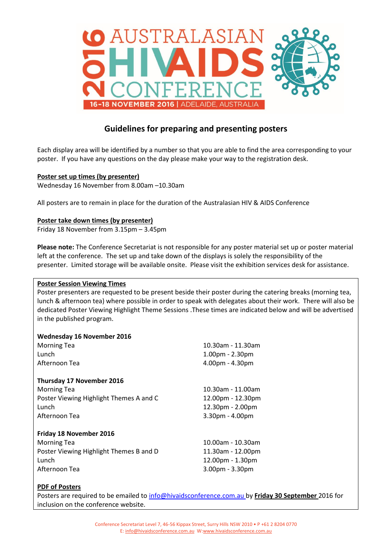

# **Guidelines for preparing and presenting posters**

Each display area will be identified by a number so that you are able to find the area corresponding to your poster. If you have any questions on the day please make your way to the registration desk.

### **Poster set up times (by presenter)**

Wednesday 16 November from 8.00am –10.30am

All posters are to remain in place for the duration of the Australasian HIV & AIDS Conference

## **Poster take down times (by presenter)**

Friday 18 November from 3.15pm – 3.45pm

**Please note:** The Conference Secretariat is not responsible for any poster material set up or poster material left at the conference. The set up and take down of the displays is solely the responsibility of the presenter. Limited storage will be available onsite. Please visit the exhibition services desk for assistance.

### **Poster Session Viewing Times**

Poster presenters are requested to be present beside their poster during the catering breaks (morning tea, lunch & afternoon tea) where possible in order to speak with delegates about their work. There will also be dedicated Poster Viewing Highlight Theme Sessions .These times are indicated below and will be advertised in the published program.

### **Wednesday 16 November 2016**

| <b>Morning Tea</b>                      | 10.30am - 11.30am     |
|-----------------------------------------|-----------------------|
| Lunch                                   | $1.00pm - 2.30pm$     |
| Afternoon Tea                           | 4.00pm - 4.30pm       |
| Thursday 17 November 2016               |                       |
| <b>Morning Tea</b>                      | 10.30am - 11.00am     |
| Poster Viewing Highlight Themes A and C | 12.00pm - 12.30pm     |
| Lunch                                   | 12.30pm - 2.00pm      |
| Afternoon Tea                           | $3.30$ pm - $4.00$ pm |
| Friday 18 November 2016                 |                       |
| <b>Morning Tea</b>                      | 10.00am - 10.30am     |
| Poster Viewing Highlight Themes B and D | 11.30am - 12.00pm     |
| Lunch                                   | 12.00pm - 1.30pm      |
| Afternoon Tea                           | $3.00pm - 3.30pm$     |

### **PDF of Posters**

Posters are required to be emailed to [info@hivaidsconference.com.au](file://///SYDVSW01/COMMON/ASHM%20Conferences/External%20Conferences%20&%20Events/Sexual%20Health%20Conferences/Sexual%20Health%202016/Abstracts/Speaker%20Assistance/info@hivaidsconference.com.au%20) by **Friday 30 September** 2016 for inclusion on the conference website.